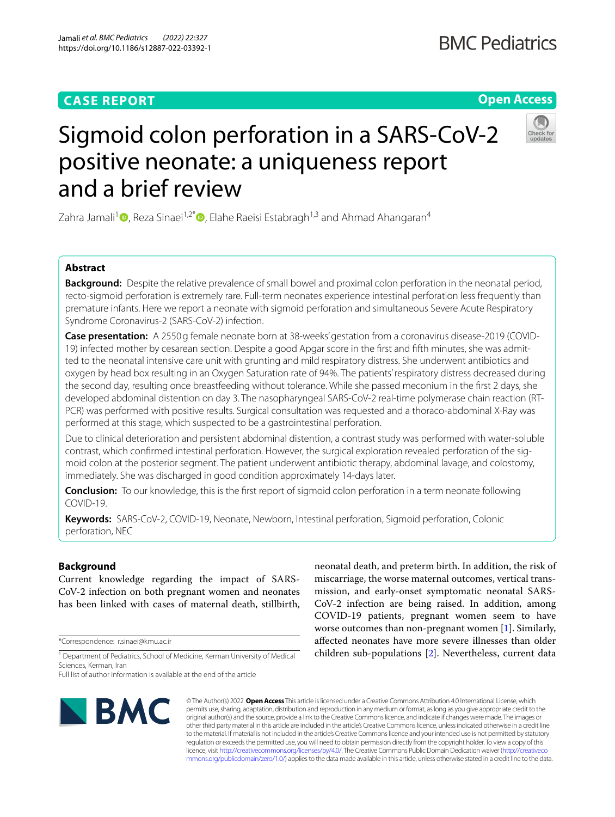# **CASE REPORT**

# **Open Access**

# Sigmoid colon perforation in a SARS-CoV-2 positive neonate: a uniqueness report and a brief review

Zahra Jamali<sup>[1](https://orcid.org/0000-0002-7774-7976)</sup> , Reza Sinaei<sup>1,2[\\*](https://orcid.org/0000-0002-2702-5836)</sup> , Elahe Raeisi Estabragh<sup>1,3</sup> and Ahmad Ahangaran<sup>4</sup>

## **Abstract**

**Background:** Despite the relative prevalence of small bowel and proximal colon perforation in the neonatal period, recto-sigmoid perforation is extremely rare. Full-term neonates experience intestinal perforation less frequently than premature infants. Here we report a neonate with sigmoid perforation and simultaneous Severe Acute Respiratory Syndrome Coronavirus-2 (SARS-CoV-2) infection.

**Case presentation:** A 2550g female neonate born at 38-weeks' gestation from a coronavirus disease-2019 (COVID-19) infected mother by cesarean section. Despite a good Apgar score in the frst and ffth minutes, she was admitted to the neonatal intensive care unit with grunting and mild respiratory distress. She underwent antibiotics and oxygen by head box resulting in an Oxygen Saturation rate of 94%. The patients' respiratory distress decreased during the second day, resulting once breastfeeding without tolerance. While she passed meconium in the frst 2 days, she developed abdominal distention on day 3. The nasopharyngeal SARS-CoV-2 real-time polymerase chain reaction (RT-PCR) was performed with positive results. Surgical consultation was requested and a thoraco-abdominal X-Ray was performed at this stage, which suspected to be a gastrointestinal perforation.

Due to clinical deterioration and persistent abdominal distention, a contrast study was performed with water-soluble contrast, which confrmed intestinal perforation. However, the surgical exploration revealed perforation of the sigmoid colon at the posterior segment. The patient underwent antibiotic therapy, abdominal lavage, and colostomy, immediately. She was discharged in good condition approximately 14-days later.

**Conclusion:** To our knowledge, this is the frst report of sigmoid colon perforation in a term neonate following COVID-19.

**Keywords:** SARS-CoV-2, COVID-19, Neonate, Newborn, Intestinal perforation, Sigmoid perforation, Colonic perforation, NEC

## **Background**

Current knowledge regarding the impact of SARS-CoV-2 infection on both pregnant women and neonates has been linked with cases of maternal death, stillbirth,

\*Correspondence: r.sinaei@kmu.ac.ir

neonatal death, and preterm birth. In addition, the risk of miscarriage, the worse maternal outcomes, vertical transmission, and early-onset symptomatic neonatal SARS-CoV-2 infection are being raised. In addition, among COVID-19 patients, pregnant women seem to have worse outcomes than non-pregnant women [\[1\]](#page-3-0). Similarly, afected neonates have more severe illnesses than older children sub-populations [\[2\]](#page-3-1). Nevertheless, current data



© The Author(s) 2022. **Open Access** This article is licensed under a Creative Commons Attribution 4.0 International License, which permits use, sharing, adaptation, distribution and reproduction in any medium or format, as long as you give appropriate credit to the original author(s) and the source, provide a link to the Creative Commons licence, and indicate if changes were made. The images or other third party material in this article are included in the article's Creative Commons licence, unless indicated otherwise in a credit line to the material. If material is not included in the article's Creative Commons licence and your intended use is not permitted by statutory regulation or exceeds the permitted use, you will need to obtain permission directly from the copyright holder. To view a copy of this licence, visit [http://creativecommons.org/licenses/by/4.0/.](http://creativecommons.org/licenses/by/4.0/) The Creative Commons Public Domain Dedication waiver ([http://creativeco](http://creativecommons.org/publicdomain/zero/1.0/) [mmons.org/publicdomain/zero/1.0/](http://creativecommons.org/publicdomain/zero/1.0/)) applies to the data made available in this article, unless otherwise stated in a credit line to the data.

<sup>&</sup>lt;sup>1</sup> Department of Pediatrics, School of Medicine, Kerman University of Medical Sciences, Kerman, Iran

Full list of author information is available at the end of the article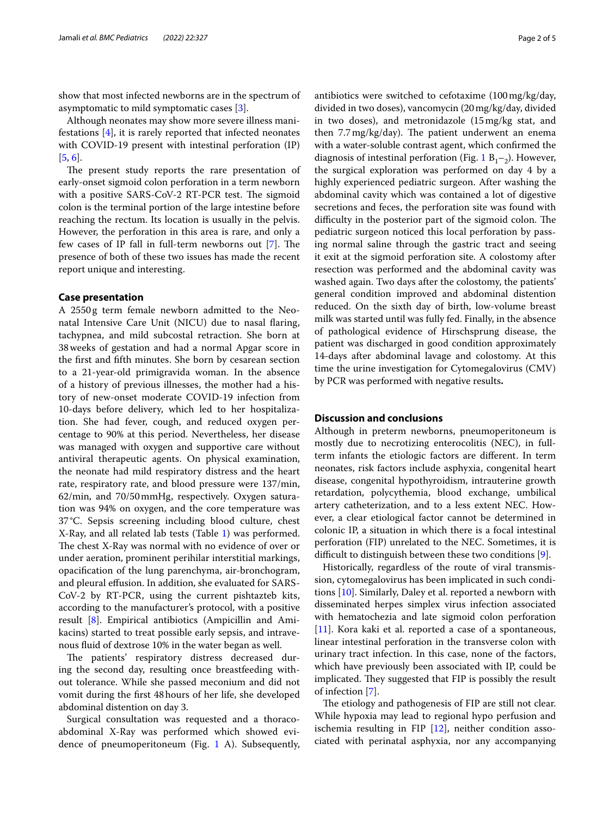show that most infected newborns are in the spectrum of asymptomatic to mild symptomatic cases [[3](#page-3-2)].

Although neonates may show more severe illness manifestations [\[4\]](#page-3-3), it is rarely reported that infected neonates with COVID-19 present with intestinal perforation (IP) [[5,](#page-3-4) [6](#page-3-5)].

The present study reports the rare presentation of early-onset sigmoid colon perforation in a term newborn with a positive SARS-CoV-2 RT-PCR test. The sigmoid colon is the terminal portion of the large intestine before reaching the rectum. Its location is usually in the pelvis. However, the perforation in this area is rare, and only a few cases of IP fall in full-term newborns out  $[7]$  $[7]$ . The presence of both of these two issues has made the recent report unique and interesting.

#### **Case presentation**

A 2550g term female newborn admitted to the Neonatal Intensive Care Unit (NICU) due to nasal faring, tachypnea, and mild subcostal retraction. She born at 38weeks of gestation and had a normal Apgar score in the frst and ffth minutes. She born by cesarean section to a 21-year-old primigravida woman. In the absence of a history of previous illnesses, the mother had a history of new-onset moderate COVID-19 infection from 10-days before delivery, which led to her hospitalization. She had fever, cough, and reduced oxygen percentage to 90% at this period. Nevertheless, her disease was managed with oxygen and supportive care without antiviral therapeutic agents. On physical examination, the neonate had mild respiratory distress and the heart rate, respiratory rate, and blood pressure were 137/min, 62/min, and 70/50mmHg, respectively. Oxygen saturation was 94% on oxygen, and the core temperature was 37°C. Sepsis screening including blood culture, chest X-Ray, and all related lab tests (Table [1\)](#page-2-0) was performed. The chest X-Ray was normal with no evidence of over or under aeration, prominent perihilar interstitial markings, opacifcation of the lung parenchyma, air-bronchogram, and pleural efusion. In addition, she evaluated for SARS-CoV-2 by RT-PCR, using the current pishtazteb kits, according to the manufacturer's protocol, with a positive result [\[8](#page-3-7)]. Empirical antibiotics (Ampicillin and Amikacins) started to treat possible early sepsis, and intravenous fuid of dextrose 10% in the water began as well.

The patients' respiratory distress decreased during the second day, resulting once breastfeeding without tolerance. While she passed meconium and did not vomit during the frst 48hours of her life, she developed abdominal distention on day 3.

Surgical consultation was requested and a thoracoabdominal X-Ray was performed which showed evidence of pneumoperitoneum (Fig. [1](#page-2-1) A). Subsequently, antibiotics were switched to cefotaxime (100mg/kg/day, divided in two doses), vancomycin (20mg/kg/day, divided in two doses), and metronidazole (15mg/kg stat, and then  $7.7 \text{ mg/kg/day}$ . The patient underwent an enema with a water-soluble contrast agent, which confrmed the diagnosis of intestinal perforation (Fig. [1](#page-2-1)  $B_1$ –<sub>2</sub>). However, the surgical exploration was performed on day 4 by a highly experienced pediatric surgeon. After washing the abdominal cavity which was contained a lot of digestive secretions and feces, the perforation site was found with difficulty in the posterior part of the sigmoid colon. The pediatric surgeon noticed this local perforation by passing normal saline through the gastric tract and seeing it exit at the sigmoid perforation site. A colostomy after resection was performed and the abdominal cavity was washed again. Two days after the colostomy, the patients' general condition improved and abdominal distention reduced. On the sixth day of birth, low-volume breast milk was started until was fully fed. Finally, in the absence of pathological evidence of Hirschsprung disease, the patient was discharged in good condition approximately 14-days after abdominal lavage and colostomy. At this time the urine investigation for Cytomegalovirus (CMV) by PCR was performed with negative results**.**

#### **Discussion and conclusions**

Although in preterm newborns, pneumoperitoneum is mostly due to necrotizing enterocolitis (NEC), in fullterm infants the etiologic factors are diferent. In term neonates, risk factors include asphyxia, congenital heart disease, congenital hypothyroidism, intrauterine growth retardation, polycythemia, blood exchange, umbilical artery catheterization, and to a less extent NEC. However, a clear etiological factor cannot be determined in colonic IP, a situation in which there is a focal intestinal perforation (FIP) unrelated to the NEC. Sometimes, it is difficult to distinguish between these two conditions  $[9]$  $[9]$  $[9]$ .

Historically, regardless of the route of viral transmission, cytomegalovirus has been implicated in such conditions [[10](#page-3-9)]. Similarly, Daley et al. reported a newborn with disseminated herpes simplex virus infection associated with hematochezia and late sigmoid colon perforation [[11\]](#page-3-10). Kora kaki et al. reported a case of a spontaneous, linear intestinal perforation in the transverse colon with urinary tract infection. In this case, none of the factors, which have previously been associated with IP, could be implicated. They suggested that FIP is possibly the result of infection [\[7](#page-3-6)].

The etiology and pathogenesis of FIP are still not clear. While hypoxia may lead to regional hypo perfusion and ischemia resulting in FIP [\[12](#page-4-0)], neither condition associated with perinatal asphyxia, nor any accompanying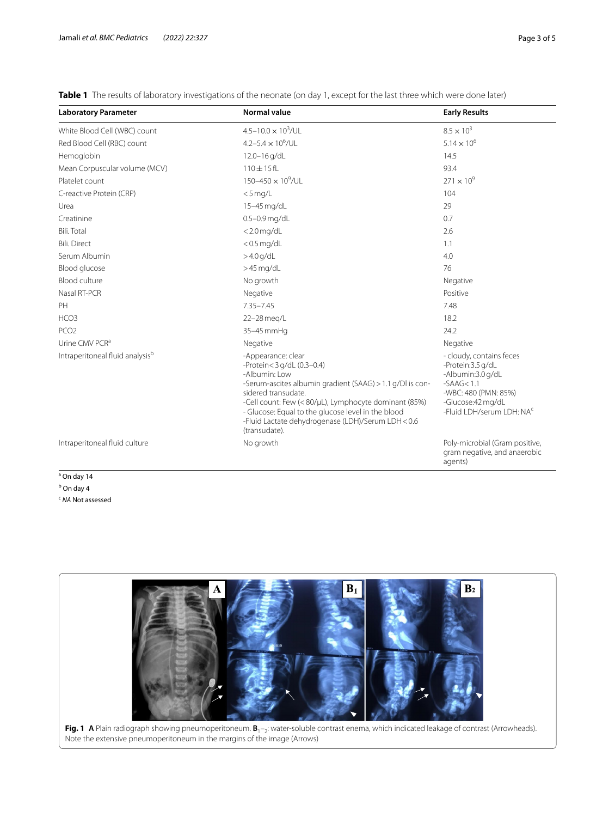<span id="page-2-0"></span>**Table 1** The results of laboratory investigations of the neonate (on day 1, except for the last three which were done later)

| <b>Laboratory Parameter</b>                 | <b>Normal value</b>                                                                                                                                                                                                                                                                                                                       | <b>Early Results</b>                                                                                                                                          |
|---------------------------------------------|-------------------------------------------------------------------------------------------------------------------------------------------------------------------------------------------------------------------------------------------------------------------------------------------------------------------------------------------|---------------------------------------------------------------------------------------------------------------------------------------------------------------|
| White Blood Cell (WBC) count                | $4.5 - 10.0 \times 10^3$ /UL                                                                                                                                                                                                                                                                                                              | $8.5 \times 10^{3}$                                                                                                                                           |
| Red Blood Cell (RBC) count                  | 4.2-5.4 $\times$ 10 <sup>6</sup> /UL                                                                                                                                                                                                                                                                                                      | $5.14 \times 10^{6}$                                                                                                                                          |
| Hemoglobin                                  | 12.0-16g/dL                                                                                                                                                                                                                                                                                                                               | 14.5                                                                                                                                                          |
| Mean Corpuscular volume (MCV)               | 110±15fL                                                                                                                                                                                                                                                                                                                                  | 93.4                                                                                                                                                          |
| Platelet count                              | 150-450 $\times$ 10 <sup>9</sup> /UL                                                                                                                                                                                                                                                                                                      | $271 \times 10^{9}$                                                                                                                                           |
| C-reactive Protein (CRP)                    | $<$ 5 mg/L                                                                                                                                                                                                                                                                                                                                | 104                                                                                                                                                           |
| Urea                                        | 15-45 mg/dL                                                                                                                                                                                                                                                                                                                               | 29                                                                                                                                                            |
| Creatinine                                  | $0.5 - 0.9$ mg/dL                                                                                                                                                                                                                                                                                                                         | 0.7                                                                                                                                                           |
| <b>Bili. Total</b>                          | $<$ 2.0 mg/dL                                                                                                                                                                                                                                                                                                                             | 2.6                                                                                                                                                           |
| <b>Bili. Direct</b>                         | $<$ 0.5 mg/dL                                                                                                                                                                                                                                                                                                                             | 1.1                                                                                                                                                           |
| Serum Albumin                               | $>4.0$ g/dL                                                                                                                                                                                                                                                                                                                               | 4.0                                                                                                                                                           |
| Blood glucose                               | $>45$ mg/dL                                                                                                                                                                                                                                                                                                                               | 76                                                                                                                                                            |
| Blood culture                               | No growth                                                                                                                                                                                                                                                                                                                                 | Negative                                                                                                                                                      |
| Nasal RT-PCR                                | Negative                                                                                                                                                                                                                                                                                                                                  | Positive                                                                                                                                                      |
| PH                                          | 7.35-7.45                                                                                                                                                                                                                                                                                                                                 | 7.48                                                                                                                                                          |
| HCO <sub>3</sub>                            | 22-28 meg/L                                                                                                                                                                                                                                                                                                                               | 18.2                                                                                                                                                          |
| PCO <sub>2</sub>                            | 35-45 mmHq                                                                                                                                                                                                                                                                                                                                | 24.2                                                                                                                                                          |
| Urine CMV PCR <sup>a</sup>                  | Negative                                                                                                                                                                                                                                                                                                                                  | Negative                                                                                                                                                      |
| Intraperitoneal fluid analysis <sup>b</sup> | -Appearance: clear<br>-Protein<3 g/dL (0.3-0.4)<br>-Albumin: Low<br>-Serum-ascites albumin gradient (SAAG) > 1.1 g/Dl is con-<br>sidered transudate.<br>-Cell count: Few (<80/µL), Lymphocyte dominant (85%)<br>- Glucose: Equal to the glucose level in the blood<br>-Fluid Lactate dehydrogenase (LDH)/Serum LDH < 0.6<br>(transudate). | - cloudy, contains feces<br>-Protein:3.5 g/dL<br>-Albumin:3.0 g/dL<br>$-SAAG < 1.1$<br>-WBC: 480 (PMN: 85%)<br>-Glucose:42 mg/dL<br>-Fluid LDH/serum LDH: NAC |
| Intraperitoneal fluid culture               | No growth                                                                                                                                                                                                                                                                                                                                 | Poly-microbial (Gram positive,<br>gram negative, and anaerobic<br>agents)                                                                                     |

<sup>a</sup> On day 14 <sup>b</sup> On day 4 <sup>c</sup> *NA* Not assessed

 $B<sub>2</sub>$ **Fig. 1** A Plain radiograph showing pneumoperitoneum. B<sub>1</sub>-<sub>2</sub>: water-soluble contrast enema, which indicated leakage of contrast (Arrowheads).

<span id="page-2-1"></span>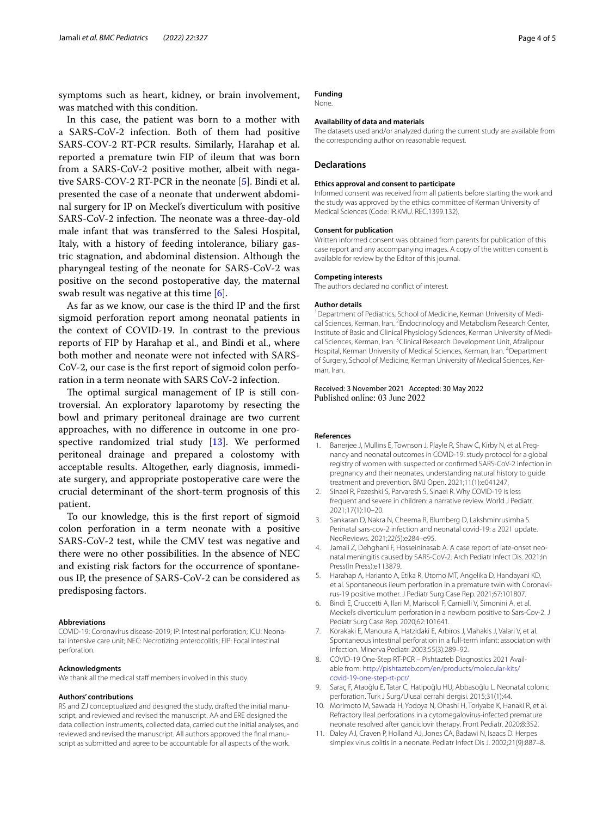symptoms such as heart, kidney, or brain involvement, was matched with this condition.

In this case, the patient was born to a mother with a SARS-CoV-2 infection. Both of them had positive SARS-COV-2 RT-PCR results. Similarly, Harahap et al. reported a premature twin FIP of ileum that was born from a SARS-CoV-2 positive mother, albeit with negative SARS-COV-2 RT-PCR in the neonate [[5\]](#page-3-4). Bindi et al. presented the case of a neonate that underwent abdominal surgery for IP on Meckel's diverticulum with positive SARS-CoV-2 infection. The neonate was a three-day-old male infant that was transferred to the Salesi Hospital, Italy, with a history of feeding intolerance, biliary gastric stagnation, and abdominal distension. Although the pharyngeal testing of the neonate for SARS-CoV-2 was positive on the second postoperative day, the maternal swab result was negative at this time [\[6](#page-3-5)].

As far as we know, our case is the third IP and the frst sigmoid perforation report among neonatal patients in the context of COVID-19. In contrast to the previous reports of FIP by Harahap et al., and Bindi et al., where both mother and neonate were not infected with SARS-CoV-2, our case is the frst report of sigmoid colon perforation in a term neonate with SARS CoV-2 infection.

The optimal surgical management of IP is still controversial. An exploratory laparotomy by resecting the bowl and primary peritoneal drainage are two current approaches, with no diference in outcome in one prospective randomized trial study  $[13]$  $[13]$ . We performed peritoneal drainage and prepared a colostomy with acceptable results. Altogether, early diagnosis, immediate surgery, and appropriate postoperative care were the crucial determinant of the short-term prognosis of this patient.

To our knowledge, this is the frst report of sigmoid colon perforation in a term neonate with a positive SARS-CoV-2 test, while the CMV test was negative and there were no other possibilities. In the absence of NEC and existing risk factors for the occurrence of spontaneous IP, the presence of SARS-CoV-2 can be considered as predisposing factors.

#### **Abbreviations**

COVID-19: Coronavirus disease-2019; IP: Intestinal perforation; ICU: Neonatal intensive care unit; NEC: Necrotizing enterocolitis; FIP: Focal intestinal perforation.

#### **Acknowledgments**

We thank all the medical staff members involved in this study.

#### **Authors' contributions**

RS and ZJ conceptualized and designed the study, drafted the initial manuscript, and reviewed and revised the manuscript. AA and ERE designed the data collection instruments, collected data, carried out the initial analyses, and reviewed and revised the manuscript. All authors approved the fnal manuscript as submitted and agree to be accountable for all aspects of the work.

#### **Funding** None.

#### **Availability of data and materials**

The datasets used and/or analyzed during the current study are available from the corresponding author on reasonable request.

#### **Declarations**

#### **Ethics approval and consent to participate**

Informed consent was received from all patients before starting the work and the study was approved by the ethics committee of Kerman University of Medical Sciences (Code: IR.KMU. REC.1399.132).

#### **Consent for publication**

Written informed consent was obtained from parents for publication of this case report and any accompanying images. A copy of the written consent is available for review by the Editor of this journal.

#### **Competing interests**

The authors declared no confict of interest.

#### **Author details**

<sup>1</sup> Department of Pediatrics, School of Medicine, Kerman University of Medical Sciences, Kerman, Iran. <sup>2</sup> Endocrinology and Metabolism Research Center, Institute of Basic and Clinical Physiology Sciences, Kerman University of Medical Sciences, Kerman, Iran. <sup>3</sup> Clinical Research Development Unit, Afzalipour Hospital, Kerman University of Medical Sciences, Kerman, Iran. <sup>4</sup>Department of Surgery, School of Medicine, Kerman University of Medical Sciences, Kerman, Iran.

#### Received: 3 November 2021 Accepted: 30 May 2022 Published online: 03 June 2022

#### **References**

- <span id="page-3-0"></span>1. Banerjee J, Mullins E, Townson J, Playle R, Shaw C, Kirby N, et al. Pregnancy and neonatal outcomes in COVID-19: study protocol for a global registry of women with suspected or confrmed SARS-CoV-2 infection in pregnancy and their neonates, understanding natural history to guide treatment and prevention. BMJ Open. 2021;11(1):e041247.
- <span id="page-3-1"></span>2. Sinaei R, Pezeshki S, Parvaresh S, Sinaei R. Why COVID-19 is less frequent and severe in children: a narrative review. World J Pediatr. 2021;17(1):10–20.
- <span id="page-3-2"></span>3. Sankaran D, Nakra N, Cheema R, Blumberg D, Lakshminrusimha S. Perinatal sars-cov-2 infection and neonatal covid-19: a 2021 update. NeoReviews. 2021;22(5):e284–e95.
- <span id="page-3-3"></span>4. Jamali Z, Dehghani F, Hosseininasab A. A case report of late-onset neonatal meningitis caused by SARS-CoV-2. Arch Pediatr Infect Dis. 2021;In Press(In Press):e113879.
- <span id="page-3-4"></span>5. Harahap A, Harianto A, Etika R, Utomo MT, Angelika D, Handayani KD, et al. Spontaneous ileum perforation in a premature twin with Coronavirus-19 positive mother. J Pediatr Surg Case Rep. 2021;67:101807.
- <span id="page-3-5"></span>6. Bindi E, Cruccetti A, Ilari M, Mariscoli F, Carnielli V, Simonini A, et al. Meckel's diverticulum perforation in a newborn positive to Sars-Cov-2. J Pediatr Surg Case Rep. 2020;62:101641.
- <span id="page-3-6"></span>7. Korakaki E, Manoura A, Hatzidaki E, Arbiros J, Vlahakis J, Valari V, et al. Spontaneous intestinal perforation in a full-term infant: association with infection. Minerva Pediatr. 2003;55(3):289–92.
- <span id="page-3-7"></span>8. COVID-19 One-Step RT-PCR – Pishtazteb Diagnostics 2021 Available from: [http://pishtazteb.com/en/products/molecular-kits/](http://pishtazteb.com/en/products/molecular-kits/covid-19-one-step-rt-pcr/) [covid-19-one-step-rt-pcr/](http://pishtazteb.com/en/products/molecular-kits/covid-19-one-step-rt-pcr/).
- <span id="page-3-8"></span>9. Saraç F, Ataoğlu E, Tatar C, Hatipoğlu HU, Abbasoğlu L. Neonatal colonic perforation. Turk J Surg/Ulusal cerrahi dergisi. 2015;31(1):44.
- <span id="page-3-9"></span>10. Morimoto M, Sawada H, Yodoya N, Ohashi H, Toriyabe K, Hanaki R, et al. Refractory Ileal perforations in a cytomegalovirus-infected premature neonate resolved after ganciclovir therapy. Front Pediatr. 2020;8:352.
- <span id="page-3-10"></span>11. Daley AJ, Craven P, Holland AJ, Jones CA, Badawi N, Isaacs D. Herpes simplex virus colitis in a neonate. Pediatr Infect Dis J. 2002;21(9):887–8.